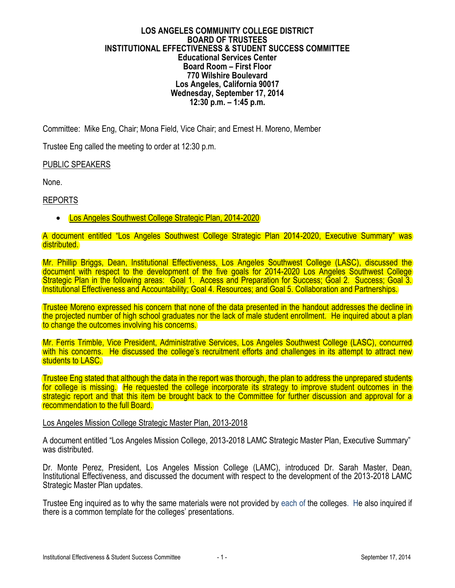#### **LOS ANGELES COMMUNITY COLLEGE DISTRICT BOARD OF TRUSTEES INSTITUTIONAL EFFECTIVENESS & STUDENT SUCCESS COMMITTEE Educational Services Center Board Room – First Floor 770 Wilshire Boulevard Los Angeles, California 90017 Wednesday, September 17, 2014 12:30 p.m. – 1:45 p.m.**

Committee: Mike Eng, Chair; Mona Field, Vice Chair; and Ernest H. Moreno, Member

Trustee Eng called the meeting to order at 12:30 p.m.

## PUBLIC SPEAKERS

None.

## REPORTS

Los Angeles Southwest College Strategic Plan, 2014-2020

#### A document entitled "Los Angeles Southwest College Strategic Plan 2014-2020, Executive Summary" was distributed.

Mr. Phillip Briggs, Dean, Institutional Effectiveness, Los Angeles Southwest College (LASC), discussed the document with respect to the development of the five goals for 2014-2020 Los Angeles Southwest College Strategic Plan in the following areas: Goal 1. Access and Preparation for Success; Goal 2. Success; Goal 3. Institutional Effectiveness and Accountability; Goal 4. Resources; and Goal 5. Collaboration and Partnerships.

Trustee Moreno expressed his concern that none of the data presented in the handout addresses the decline in the projected number of high school graduates nor the lack of male student enrollment. He inquired about a plan to change the outcomes involving his concerns.

Mr. Ferris Trimble, Vice President, Administrative Services, Los Angeles Southwest College (LASC), concurred with his concerns. He discussed the college's recruitment efforts and challenges in its attempt to attract new students to LASC.

Trustee Eng stated that although the data in the report was thorough, the plan to address the unprepared students for college is missing. He requested the college incorporate its strategy to improve student outcomes in the strategic report and that this item be brought back to the Committee for further discussion and approval for a recommendation to the full Board.

#### Los Angeles Mission College Strategic Master Plan, 2013-2018

A document entitled "Los Angeles Mission College, 2013-2018 LAMC Strategic Master Plan, Executive Summary" was distributed.

Dr. Monte Perez, President, Los Angeles Mission College (LAMC), introduced Dr. Sarah Master, Dean, Institutional Effectiveness, and discussed the document with respect to the development of the 2013-2018 LAMC Strategic Master Plan updates.

Trustee Eng inquired as to why the same materials were not provided by each of the colleges. He also inquired if there is a common template for the colleges' presentations.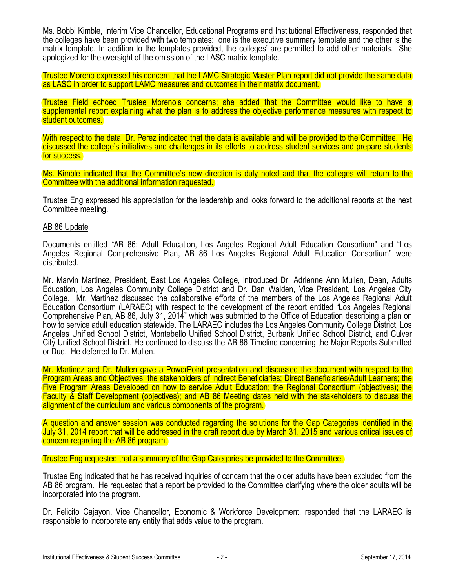Ms. Bobbi Kimble, Interim Vice Chancellor, Educational Programs and Institutional Effectiveness, responded that the colleges have been provided with two templates: one is the executive summary template and the other is the matrix template. In addition to the templates provided, the colleges' are permitted to add other materials. She apologized for the oversight of the omission of the LASC matrix template.

Trustee Moreno expressed his concern that the LAMC Strategic Master Plan report did not provide the same data as LASC in order to support LAMC measures and outcomes in their matrix document.

Trustee Field echoed Trustee Moreno's concerns; she added that the Committee would like to have a supplemental report explaining what the plan is to address the objective performance measures with respect to student outcomes.

With respect to the data, Dr. Perez indicated that the data is available and will be provided to the Committee. He discussed the college's initiatives and challenges in its efforts to address student services and prepare students for success.

Ms. Kimble indicated that the Committee's new direction is duly noted and that the colleges will return to the Committee with the additional information requested.

Trustee Eng expressed his appreciation for the leadership and looks forward to the additional reports at the next Committee meeting.

#### AB 86 Update

Documents entitled "AB 86: Adult Education, Los Angeles Regional Adult Education Consortium" and "Los Angeles Regional Comprehensive Plan, AB 86 Los Angeles Regional Adult Education Consortium" were distributed.

Mr. Marvin Martinez, President, East Los Angeles College, introduced Dr. Adrienne Ann Mullen, Dean, Adults Education, Los Angeles Community College District and Dr. Dan Walden, Vice President, Los Angeles City College. Mr. Martinez discussed the collaborative efforts of the members of the Los Angeles Regional Adult Education Consortium (LARAEC) with respect to the development of the report entitled "Los Angeles Regional Comprehensive Plan, AB 86, July 31, 2014" which was submitted to the Office of Education describing a plan on how to service adult education statewide. The LARAEC includes the Los Angeles Community College District, Los Angeles Unified School District, Montebello Unified School District, Burbank Unified School District, and Culver City Unified School District. He continued to discuss the AB 86 Timeline concerning the Major Reports Submitted or Due. He deferred to Dr. Mullen.

Mr. Martinez and Dr. Mullen gave a PowerPoint presentation and discussed the document with respect to the Program Areas and Objectives; the stakeholders of Indirect Beneficiaries; Direct Beneficiaries/Adult Learners; the Five Program Areas Developed on how to service Adult Education; the Regional Consortium (objectives); the Faculty & Staff Development (objectives); and AB 86 Meeting dates held with the stakeholders to discuss the alignment of the curriculum and various components of the program.

A question and answer session was conducted regarding the solutions for the Gap Categories identified in the July 31, 2014 report that will be addressed in the draft report due by March 31, 2015 and various critical issues of concern regarding the AB 86 program.

Trustee Eng requested that a summary of the Gap Categories be provided to the Committee.

Trustee Eng indicated that he has received inquiries of concern that the older adults have been excluded from the AB 86 program. He requested that a report be provided to the Committee clarifying where the older adults will be incorporated into the program.

Dr. Felicito Cajayon, Vice Chancellor, Economic & Workforce Development, responded that the LARAEC is responsible to incorporate any entity that adds value to the program.